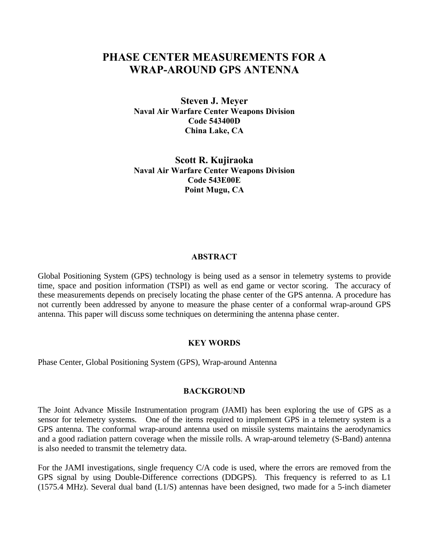# **PHASE CENTER MEASUREMENTS FOR A WRAP-AROUND GPS ANTENNA**

**Steven J. Meyer Naval Air Warfare Center Weapons Division Code 543400D China Lake, CA**

**Scott R. Kujiraoka Naval Air Warfare Center Weapons Division Code 543E00E Point Mugu, CA**

#### **ABSTRACT**

Global Positioning System (GPS) technology is being used as a sensor in telemetry systems to provide time, space and position information (TSPI) as well as end game or vector scoring. The accuracy of these measurements depends on precisely locating the phase center of the GPS antenna. A procedure has not currently been addressed by anyone to measure the phase center of a conformal wrap-around GPS antenna. This paper will discuss some techniques on determining the antenna phase center.

## **KEY WORDS**

Phase Center, Global Positioning System (GPS), Wrap-around Antenna

### **BACKGROUND**

The Joint Advance Missile Instrumentation program (JAMI) has been exploring the use of GPS as a sensor for telemetry systems. One of the items required to implement GPS in a telemetry system is a GPS antenna. The conformal wrap-around antenna used on missile systems maintains the aerodynamics and a good radiation pattern coverage when the missile rolls. A wrap-around telemetry (S-Band) antenna is also needed to transmit the telemetry data.

For the JAMI investigations, single frequency C/A code is used, where the errors are removed from the GPS signal by using Double-Difference corrections (DDGPS). This frequency is referred to as L1 (1575.4 MHz). Several dual band (L1/S) antennas have been designed, two made for a 5-inch diameter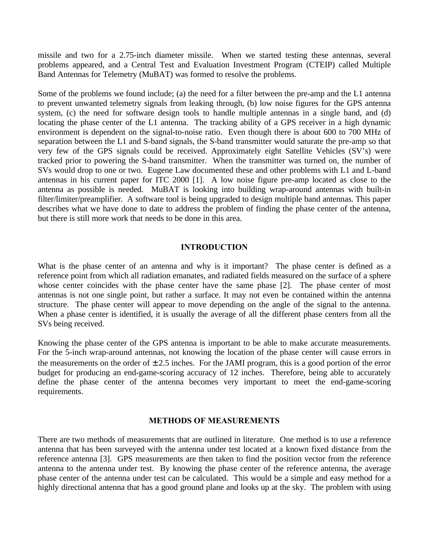missile and two for a 2.75-inch diameter missile. When we started testing these antennas, several problems appeared, and a Central Test and Evaluation Investment Program (CTEIP) called Multiple Band Antennas for Telemetry (MuBAT) was formed to resolve the problems.

Some of the problems we found include; (a) the need for a filter between the pre-amp and the L1 antenna to prevent unwanted telemetry signals from leaking through, (b) low noise figures for the GPS antenna system, (c) the need for software design tools to handle multiple antennas in a single band, and (d) locating the phase center of the L1 antenna. The tracking ability of a GPS receiver in a high dynamic environment is dependent on the signal-to-noise ratio. Even though there is about 600 to 700 MHz of separation between the L1 and S-band signals, the S-band transmitter would saturate the pre-amp so that very few of the GPS signals could be received. Approximately eight Satellite Vehicles (SV's) were tracked prior to powering the S-band transmitter. When the transmitter was turned on, the number of SVs would drop to one or two. Eugene Law documented these and other problems with L1 and L-band antennas in his current paper for ITC 2000 [1]. A low noise figure pre-amp located as close to the antenna as possible is needed. MuBAT is looking into building wrap-around antennas with built-in filter/limiter/preamplifier. A software tool is being upgraded to design multiple band antennas. This paper describes what we have done to date to address the problem of finding the phase center of the antenna, but there is still more work that needs to be done in this area.

## **INTRODUCTION**

What is the phase center of an antenna and why is it important? The phase center is defined as a reference point from which all radiation emanates, and radiated fields measured on the surface of a sphere whose center coincides with the phase center have the same phase [2]. The phase center of most antennas is not one single point, but rather a surface. It may not even be contained within the antenna structure. The phase center will appear to move depending on the angle of the signal to the antenna. When a phase center is identified, it is usually the average of all the different phase centers from all the SVs being received.

Knowing the phase center of the GPS antenna is important to be able to make accurate measurements. For the 5-inch wrap-around antennas, not knowing the location of the phase center will cause errors in the measurements on the order of  $\pm 2.5$  inches. For the JAMI program, this is a good portion of the error budget for producing an end-game-scoring accuracy of 12 inches. Therefore, being able to accurately define the phase center of the antenna becomes very important to meet the end-game-scoring requirements.

#### **METHODS OF MEASUREMENTS**

There are two methods of measurements that are outlined in literature. One method is to use a reference antenna that has been surveyed with the antenna under test located at a known fixed distance from the reference antenna [3]. GPS measurements are then taken to find the position vector from the reference antenna to the antenna under test. By knowing the phase center of the reference antenna, the average phase center of the antenna under test can be calculated. This would be a simple and easy method for a highly directional antenna that has a good ground plane and looks up at the sky. The problem with using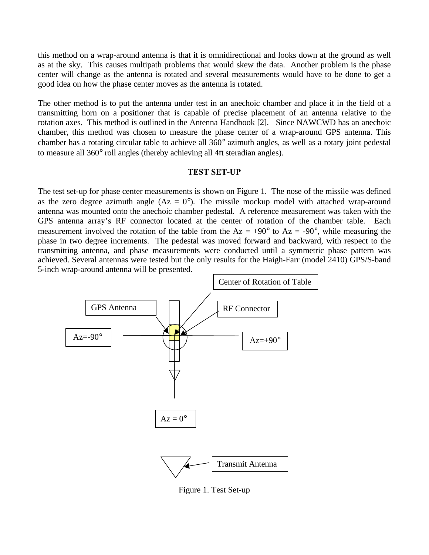this method on a wrap-around antenna is that it is omnidirectional and looks down at the ground as well as at the sky. This causes multipath problems that would skew the data. Another problem is the phase center will change as the antenna is rotated and several measurements would have to be done to get a good idea on how the phase center moves as the antenna is rotated.

The other method is to put the antenna under test in an anechoic chamber and place it in the field of a transmitting horn on a positioner that is capable of precise placement of an antenna relative to the rotation axes. This method is outlined in the Antenna Handbook [2]. Since NAWCWD has an anechoic chamber, this method was chosen to measure the phase center of a wrap-around GPS antenna. This chamber has a rotating circular table to achieve all 360° azimuth angles, as well as a rotary joint pedestal to measure all 360 $^{\circ}$  roll angles (thereby achieving all  $4\pi$  steradian angles).

#### **TEST SET-UP**

The test set-up for phase center measurements is shown on Figure 1. The nose of the missile was defined as the zero degree azimuth angle  $(Az = 0^{\circ})$ . The missile mockup model with attached wrap-around antenna was mounted onto the anechoic chamber pedestal. A reference measurement was taken with the GPS antenna array's RF connector located at the center of rotation of the chamber table. Each measurement involved the rotation of the table from the  $Az = +90^{\circ}$  to  $Az = -90^{\circ}$ , while measuring the phase in two degree increments. The pedestal was moved forward and backward, with respect to the transmitting antenna, and phase measurements were conducted until a symmetric phase pattern was achieved. Several antennas were tested but the only results for the Haigh-Farr (model 2410) GPS/S-band 5-inch wrap-around antenna will be presented.



Figure 1. Test Set-up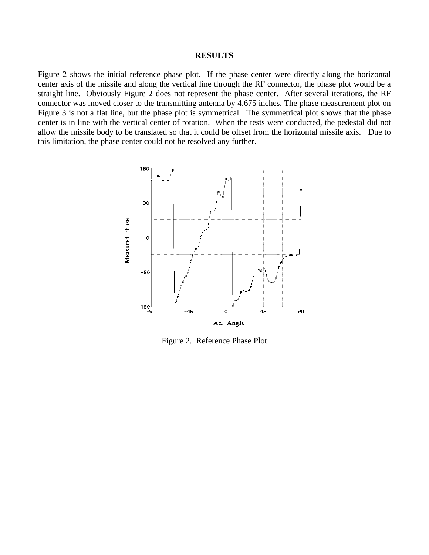#### **RESULTS**

Figure 2 shows the initial reference phase plot. If the phase center were directly along the horizontal center axis of the missile and along the vertical line through the RF connector, the phase plot would be a straight line. Obviously Figure 2 does not represent the phase center. After several iterations, the RF connector was moved closer to the transmitting antenna by 4.675 inches. The phase measurement plot on Figure 3 is not a flat line, but the phase plot is symmetrical. The symmetrical plot shows that the phase center is in line with the vertical center of rotation. When the tests were conducted, the pedestal did not allow the missile body to be translated so that it could be offset from the horizontal missile axis. Due to this limitation, the phase center could not be resolved any further.



Figure 2. Reference Phase Plot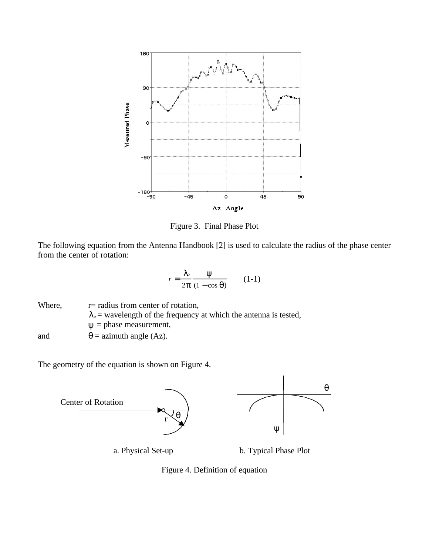

Figure 3. Final Phase Plot

The following equation from the Antenna Handbook [2] is used to calculate the radius of the phase center from the center of rotation:

$$
r = \frac{I_o}{2\mathbf{p}} \frac{\mathbf{y}}{(1 - \cos \mathbf{q})}
$$
 (1-1)

Where,  $r =$  radius from center of rotation,  $I<sub>o</sub>$  = wavelength of the frequency at which the antenna is tested, *y* = phase measurement, and  $\theta =$  azimuth angle (Az).

The geometry of the equation is shown on Figure 4.



Figure 4. Definition of equation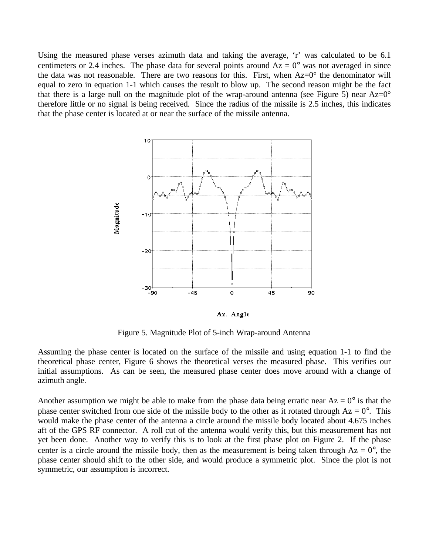Using the measured phase verses azimuth data and taking the average, 'r' was calculated to be 6.1 centimeters or 2.4 inches. The phase data for several points around  $Az = 0^{\circ}$  was not averaged in since the data was not reasonable. There are two reasons for this. First, when  $Az=0^{\circ}$  the denominator will equal to zero in equation 1-1 which causes the result to blow up. The second reason might be the fact that there is a large null on the magnitude plot of the wrap-around antenna (see Figure 5) near  $Az=0^{\circ}$ therefore little or no signal is being received. Since the radius of the missile is 2.5 inches, this indicates that the phase center is located at or near the surface of the missile antenna.



Az. Angle

Figure 5. Magnitude Plot of 5-inch Wrap-around Antenna

Assuming the phase center is located on the surface of the missile and using equation 1-1 to find the theoretical phase center, Figure 6 shows the theoretical verses the measured phase. This verifies our initial assumptions. As can be seen, the measured phase center does move around with a change of azimuth angle.

Another assumption we might be able to make from the phase data being erratic near  $Az = 0^{\circ}$  is that the phase center switched from one side of the missile body to the other as it rotated through  $Az = 0^\circ$ . This would make the phase center of the antenna a circle around the missile body located about 4.675 inches aft of the GPS RF connector. A roll cut of the antenna would verify this, but this measurement has not yet been done. Another way to verify this is to look at the first phase plot on Figure 2. If the phase center is a circle around the missile body, then as the measurement is being taken through  $Az = 0^{\circ}$ , the phase center should shift to the other side, and would produce a symmetric plot. Since the plot is not symmetric, our assumption is incorrect.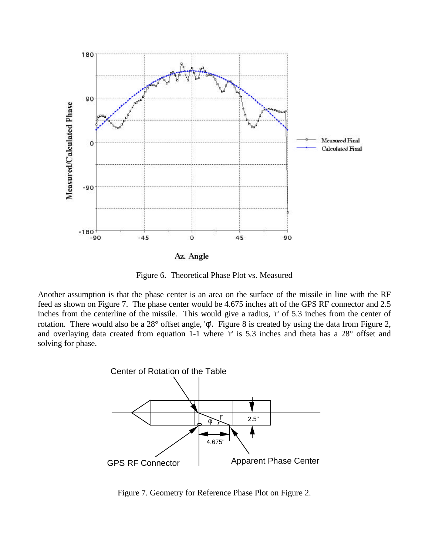

Figure 6. Theoretical Phase Plot vs. Measured

Another assumption is that the phase center is an area on the surface of the missile in line with the RF feed as shown on Figure 7. The phase center would be 4.675 inches aft of the GPS RF connector and 2.5 inches from the centerline of the missile. This would give a radius, 'r' of 5.3 inches from the center of rotation. There would also be a 28° offset angle, 'φ'. Figure 8 is created by using the data from Figure 2, and overlaying data created from equation 1-1 where 'r' is 5.3 inches and theta has a 28° offset and solving for phase.



Figure 7. Geometry for Reference Phase Plot on Figure 2.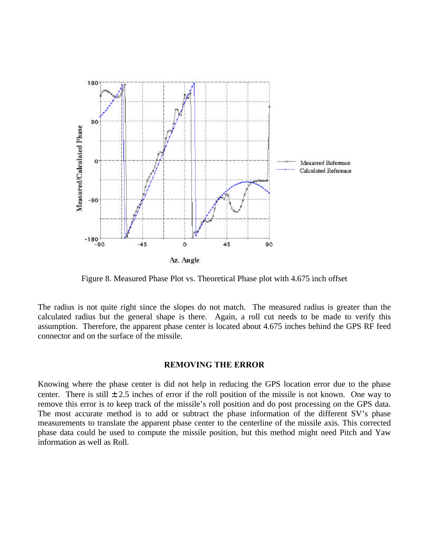

Figure 8. Measured Phase Plot vs. Theoretical Phase plot with 4.675 inch offset

The radius is not quite right since the slopes do not match. The measured radius is greater than the calculated radius but the general shape is there. Again, a roll cut needs to be made to verify this assumption. Therefore, the apparent phase center is located about 4.675 inches behind the GPS RF feed connector and on the surface of the missile.

#### **REMOVING THE ERROR**

Knowing where the phase center is did not help in reducing the GPS location error due to the phase center. There is still  $\pm 2.5$  inches of error if the roll position of the missile is not known. One way to remove this error is to keep track of the missile's roll position and do post processing on the GPS data. The most accurate method is to add or subtract the phase information of the different SV's phase measurements to translate the apparent phase center to the centerline of the missile axis. This corrected phase data could be used to compute the missile position, but this method might need Pitch and Yaw information as well as Roll.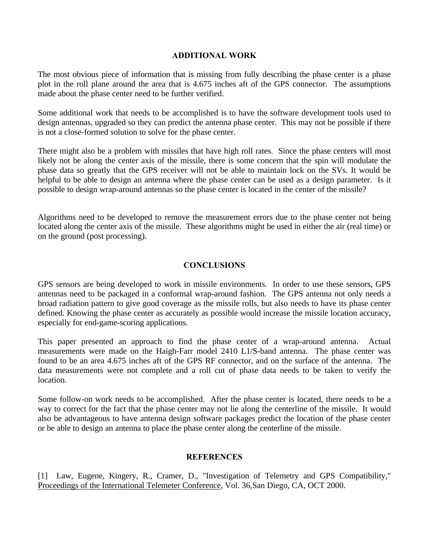## **ADDITIONAL WORK**

The most obvious piece of information that is missing from fully describing the phase center is a phase plot in the roll plane around the area that is 4.675 inches aft of the GPS connector. The assumptions made about the phase center need to be further verified.

Some additional work that needs to be accomplished is to have the software development tools used to design antennas, upgraded so they can predict the antenna phase center. This may not be possible if there is not a close-formed solution to solve for the phase center.

There might also be a problem with missiles that have high roll rates. Since the phase centers will most likely not be along the center axis of the missile, there is some concern that the spin will modulate the phase data so greatly that the GPS receiver will not be able to maintain lock on the SVs. It would be helpful to be able to design an antenna where the phase center can be used as a design parameter. Is it possible to design wrap-around antennas so the phase center is located in the center of the missile?

Algorithms need to be developed to remove the measurement errors due to the phase center not being located along the center axis of the missile. These algorithms might be used in either the air (real time) or on the ground (post processing).

# **CONCLUSIONS**

GPS sensors are being developed to work in missile environments. In order to use these sensors, GPS antennas need to be packaged in a conformal wrap-around fashion. The GPS antenna not only needs a broad radiation pattern to give good coverage as the missile rolls, but also needs to have its phase center defined. Knowing the phase center as accurately as possible would increase the missile location accuracy, especially for end-game-scoring applications.

This paper presented an approach to find the phase center of a wrap-around antenna. Actual measurements were made on the Haigh-Farr model 2410 L1/S-band antenna. The phase center was found to be an area 4.675 inches aft of the GPS RF connector, and on the surface of the antenna. The data measurements were not complete and a roll cut of phase data needs to be taken to verify the location.

Some follow-on work needs to be accomplished. After the phase center is located, there needs to be a way to correct for the fact that the phase center may not lie along the centerline of the missile. It would also be advantageous to have antenna design software packages predict the location of the phase center or be able to design an antenna to place the phase center along the centerline of the missile.

## **REFERENCES**

[1] Law, Eugene, Kingery, R., Cramer, D., "Investigation of Telemetry and GPS Compatibility," Proceedings of the International Telemeter Conference, Vol. 36,San Diego, CA, OCT 2000.